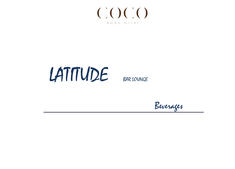

# LATITUDE BAR LOUNGE

Beverages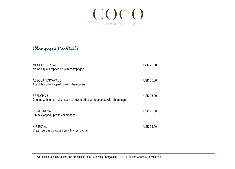

Champagne Cocktails

| <b>MIDORI COCKTAIL</b><br>Melon Liqueur topped up with champagne                             | <b>USD 25.00</b> |
|----------------------------------------------------------------------------------------------|------------------|
| ABSOLUT ESCAPADE<br>Absolute vodka topped up with champagne                                  | <b>USD 25.00</b> |
| <b>FRENCH 75</b><br>Cognac with lemon juice, dash of powdered sugar topped up with champagne | <b>USD 25.00</b> |
| PIMM'S ROYAL<br>Pimm's topped up with champagne                                              | <b>USD 25.00</b> |
| <b>KIR ROYAL</b><br>Cream de Cassis topped up with champagne                                 | <b>USD 25.00</b> |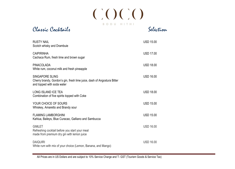$\mathrm{C}\mathrm{O}\mathrm{C}\mathrm{O}$ BODU HITHI

Classic Cocktails Selection

| <b>RUSTY NAIL</b><br>Scotch whisky and Drambuie                                                                          | <b>USD 15.00</b> |
|--------------------------------------------------------------------------------------------------------------------------|------------------|
| <b>CAIPIRINHA</b><br>Cachaca Rum, fresh lime and brown sugar                                                             | <b>USD 17.00</b> |
| <b>PINACOLADA</b><br>White rum, coconut milk and fresh pineapple                                                         | <b>USD 18.00</b> |
| SINGAPORE SLING<br>Cherry brandy, Gordon's gin, fresh lime juice, dash of Angostura Bitter<br>and topped with soda water | <b>USD 16.00</b> |
| LONG ISLAND ICE TEA<br>Combination of five spirits topped with Coke                                                      | <b>USD 18.00</b> |
| YOUR CHOICE OF SOURS<br>Whiskey, Amaretto and Brandy sour                                                                | <b>USD 15.00</b> |
| <b>FLAMING LAMBORGHINI</b><br>Kahlua, Baileys, Blue Curacao, Galliano and Sambucca                                       | <b>USD 15.00</b> |
| <b>GIMLET</b><br>Refreshing cocktail before you start your meal<br>made from premium dry gin with lemon juice            | <b>USD 16.00</b> |
| <b>DAIQUIRI</b><br>White rum with mix of your choice (Lemon, Banana, and Mango)                                          | <b>USD 16.00</b> |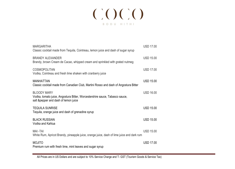# $(\dot{a})(\dot{a})(\dot{a})(\dot{a})$ BODU HITHI

| <b>MARGARITHA</b><br>Classic cocktail made from Tequila, Cointreau, lemon juice and dash of sugar syrup                                    | <b>USD 17.00</b> |  |
|--------------------------------------------------------------------------------------------------------------------------------------------|------------------|--|
| <b>BRANDY ALEXANDER</b><br>Brandy, brown Cream de Cacao, whipped cream and sprinkled with grated nutmeg                                    | <b>USD 15.00</b> |  |
| <b>COSMOPOLITAN</b><br>Vodka, Cointreau and fresh lime shaken with cranberry juice                                                         | <b>USD 17.00</b> |  |
| <b>MANHATTAN</b><br>Classic cocktail made from Canadian Club, Martini Rosso and dash of Angostura Bitter                                   | <b>USD 15.00</b> |  |
| <b>BLOODY MARY</b><br>Vodka, tomato juice, Angostura Bitter, Worcestershire sauce, Tabasco sauce,<br>salt & pepper and dash of lemon juice | <b>USD 16.00</b> |  |
| <b>TEQUILA SUNRISE</b><br>Tequila, orange juice and dash of grenadine syrup                                                                | <b>USD 15.00</b> |  |
| <b>BLACK RUSSIAN</b><br>Vodka and Kahlua                                                                                                   | <b>USD 15.00</b> |  |
| MAI-TAI<br>White Rum, Apricot Brandy, pineapple juice, orange juice, dash of lime juice and dark rum                                       | <b>USD 15.00</b> |  |
| <b>MOJITO</b><br>Premium rum with fresh lime, mint leaves and sugar syrup                                                                  | <b>USD 17.00</b> |  |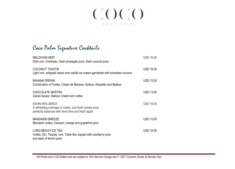## $(\dot{a})(\dot{a})(\dot{a})(\dot{a})$ BODU HITHI

Coco Palm Signature Cocktails

| <b>MALDIVIAN MIST</b><br>Dark rum, Cointreau, fresh pineapple juice, fresh coconut juice                                                | <b>USD 16.00</b> |
|-----------------------------------------------------------------------------------------------------------------------------------------|------------------|
| <b>COCONUT TOASTIE</b><br>Light rum, whipped cream and vanilla ice cream garnished with shredded coconut                                | <b>USD 16.00</b> |
| <b>BANANA DREAM</b><br>Combination of Vodka, Cream de Banana, Kahlua, Amaretto and Baileys                                              | <b>USD 15.00</b> |
| <b>CHOCOLATE MARTINI</b><br>Cacao liqueur, Baileys Cream and vodka                                                                      | <b>USD 13.00</b> |
| <b>ASIAN INFLUENCE</b><br>A refreshing marriage of vodka, and fresh lychee juice,<br>perfectly balanced with fresh lime and fresh apple | <b>USD 16.00</b> |
| <b>MANDARIN BREEZE</b><br>Mandarin vodka, Campari, orange and grapefruit juice                                                          | <b>USD 15.00</b> |
| <b>LONG BEACH ICE TEA</b><br>Vodka, Gin, Tequila, rum, Triple Sec topped with cranberry juice<br>and dash of lemon juice                | <b>USD 18.00</b> |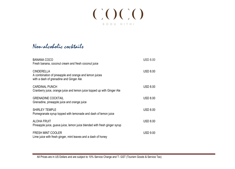

## Non-alcoholic cocktails

| <b>BANANA COCO</b><br>Fresh banana, coconut cream and fresh coconut juice                                              | <b>USD 8.00</b> |
|------------------------------------------------------------------------------------------------------------------------|-----------------|
| <b>CINDERELLA</b><br>A combination of pineapple and orange and lemon juices<br>with a dash of grenadine and Ginger Ale | <b>USD 8.00</b> |
| <b>CARDINAL PUNCH</b><br>Cranberry juice, orange juice and lemon juice topped up with Ginger Ale                       | <b>USD 8.00</b> |
| <b>GRENADINE COCKTAIL</b><br>Grenadine, pineapple juice and orange juice                                               | <b>USD 8.00</b> |
| <b>SHIRLEY TEMPLE</b><br>Pomegranate syrup topped with lemonade and dash of lemon juice                                | <b>USD 8.00</b> |
| <b>ALOHA FRUIT</b><br>Pineapple juice, guava juice, lemon juice blended with fresh ginger syrup                        | <b>USD 8.00</b> |
| <b>FRESH MINT COOLER</b><br>Lime juice with fresh ginger, mint leaves and a dash of honey                              | <b>USD 9.00</b> |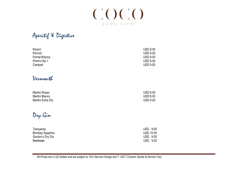

Aperitif & Digestive

| Ricard        | <b>USD 9.00</b> |
|---------------|-----------------|
| Pernod        | <b>USD 9.00</b> |
| Fernet Branca | <b>USD 9.00</b> |
| Pimm's No 1   | <b>USD 9.00</b> |
| Campari       | <b>USD 9.00</b> |

## Vermouth

| Martini Rosso     | <b>USD 8.00</b> |
|-------------------|-----------------|
| Martini Bianco    | <b>USD 8.00</b> |
| Martini Extra Dry | <b>USD 8.00</b> |

Dry Gin

| Tangueray              | <b>USD 9.00</b>  |
|------------------------|------------------|
| <b>Bombay Sapphire</b> | <b>USD 10.00</b> |
| Gordon's Dry Gin       | USD 9.00         |
| <b>Beefeater</b>       | USD 9.00         |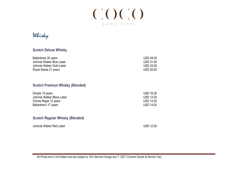

## Whisky

#### **Scotch Deluxe Whisky**

| Ballantines 30 years      | <b>USD 49.00</b> |
|---------------------------|------------------|
| Johnnie Walker Blue Label | <b>USD 31.00</b> |
| Johnnie Walker Gold Label | USD 24.00        |
| Royal Salute 21 years     | <b>USD 26.00</b> |

#### **Scotch Premium Whisky (Blended)**

| Dimple 15 years            | <b>USD 16.00</b> |
|----------------------------|------------------|
| Johnnie Walker Black Label | <b>USD 12.00</b> |
| Chivas Regal 12 years      | <b>USD 14.00</b> |
| Ballantine's 17 years      | <b>USD 14.00</b> |

#### **Scotch Regular Whisky (Blended)**

Johnnie Walker Red Label USD 12.00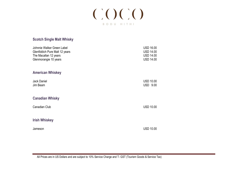

#### **Scotch Single Malt Whisky**

| Johnnie Walker Green Label<br>Glenfiddich Pure Malt 12 years<br>The Macallan 12 years<br>Glenmorangie 10 years | <b>USD 16.00</b><br><b>USD 14.00</b><br><b>USD 14.00</b><br><b>USD 14.00</b> |
|----------------------------------------------------------------------------------------------------------------|------------------------------------------------------------------------------|
| <b>American Whiskey</b>                                                                                        |                                                                              |
| Jack Daniel<br>Jim Beam                                                                                        | <b>USD 10.00</b><br><b>USD 9.00</b>                                          |
| <b>Canadian Whisky</b>                                                                                         |                                                                              |
| Canadian Club                                                                                                  | <b>USD 10.00</b>                                                             |
| <b>Irish Whiskey</b>                                                                                           |                                                                              |
| Jameson                                                                                                        | <b>USD 10.00</b>                                                             |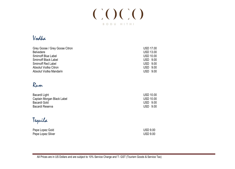

## Vodka

| Grey Goose / Grey Goose Citron | <b>USD 17.00</b> |  |
|--------------------------------|------------------|--|
| <b>Belvedere</b>               | <b>USD 13.00</b> |  |
| Smirnoff Blue Label            | <b>USD 10.00</b> |  |
| <b>Smirnoff Black Label</b>    | <b>USD 9.00</b>  |  |
| <b>Smirnoff Red Label</b>      | <b>USD 9.00</b>  |  |
| Absolut Vodka Citron           | <b>USD 9.00</b>  |  |
| Absolut Vodka Mandarin         | <b>USD 9.00</b>  |  |

## Rum

| Bacardi Light              | <b>USD 10.00</b> |
|----------------------------|------------------|
| Captain Morgan Black Label | <b>USD 10.00</b> |
| Bacardi Gold               | USD 9.00         |
| Bacardi Reserva            | <b>USD 9.00</b>  |

Tequila

| Pepe Lopez Gold   | <b>USD 9.00</b> |
|-------------------|-----------------|
| Pepe Lopez Silver | <b>USD 9.00</b> |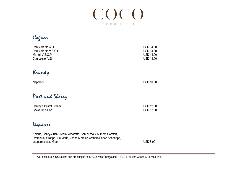

Cognac

| Remy Martin X.O<br>Remy Martin V.S.O.P<br>Martell V.S.O.P<br>Courvoisier V.S | <b>USD 34.00</b><br><b>USD 14.00</b><br><b>USD 14.00</b><br><b>USD 14.00</b> |
|------------------------------------------------------------------------------|------------------------------------------------------------------------------|
| Brandy                                                                       |                                                                              |
| Napoleon                                                                     | <b>USD 10.00</b>                                                             |
| Part and Sherry                                                              |                                                                              |
| Harvey's Bristol Cream                                                       | <b>USD 12.00</b>                                                             |

Cockburn's Port USD 12.00

Liqueurs

Kalhua, Baileys Irish Cream, Amaretto, Sambucca, Southern Comfort, Drambuie, Grappa, Tia Maria, Grand Marnier, Archers Peach Schnapps, Jaegermeister, Midori USD 8.00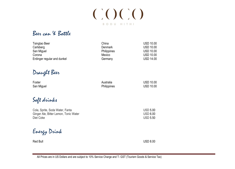

## Beer can & Bottle

| Tsingtao Beer               | China              | <b>USD 10.00</b> |
|-----------------------------|--------------------|------------------|
| Carlsberg                   | Denmark            | <b>USD 10.00</b> |
| San Miguel                  | <b>Philippines</b> | <b>USD 10.00</b> |
| Corona                      | Mexico             | <b>USD 10.00</b> |
| Erdinger regular and dunkel | Germany            | <b>USD 14.00</b> |

Draught Beer

| Foster     | Australia   | <b>USD 10.00</b> |
|------------|-------------|------------------|
| San Miguel | Philippines | <b>USD 10.00</b> |

Soft drinks

San Miguel

| Cola, Sprite, Soda Water, Fanta       | <b>USD 5.00</b> |
|---------------------------------------|-----------------|
| Ginger Ale, Bitter Lemon, Tonic Water | <b>USD 6.00</b> |
| Diet Coke                             | <b>USD 5.50</b> |

Energy Drink

Red Bull and the contract of the contract of the contract of the contract of the contract of the contract of the contract of the contract of the contract of the contract of the contract of the contract of the contract of t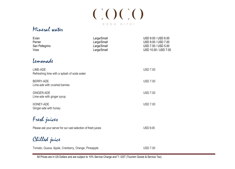

### Mineral water

| Evian<br>Perrier<br>San Pellegrino<br><b>Voss</b>       | Large/Small<br>Large/Small<br>Large/Small<br>Large/Small | USD 9.00 / USD 6.00<br>USD 9.00 / USD 7.00<br>USD 7.50 / USD 5.00<br>USD 10.00 / USD 7.00 |
|---------------------------------------------------------|----------------------------------------------------------|-------------------------------------------------------------------------------------------|
| Lemanade                                                |                                                          |                                                                                           |
| LIME-ADE<br>Refreshing lime with a splash of soda water |                                                          | <b>USD 7.00</b>                                                                           |
| BERRY-ADE<br>Lime-ade with crushed berries              |                                                          | <b>USD 7.00</b>                                                                           |
| <b>GINGER-ADE</b><br>Lime-ade with ginger syrup         |                                                          | <b>USD 7.00</b>                                                                           |
| <b>HONEY-ADE</b><br>Ginger-ade with honey               |                                                          | <b>USD 7.00</b>                                                                           |
|                                                         |                                                          |                                                                                           |

Fresh juices

Please ask your server for our vast selection of fresh juices USD 9.00

Chilled juice

Tomato, Guava, Apple, Cranberry, Orange, Pineapple Vancourse Contract Communication USD 7.00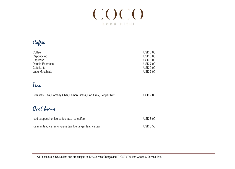

Coffee

| Coffee          | <b>USD 6.00</b> |
|-----------------|-----------------|
| Cappuccino      | <b>USD 8.00</b> |
| Espresso        | <b>USD 6.00</b> |
| Double Espresso | <b>USD 7.00</b> |
| Café Latte      | <b>USD 9.00</b> |
| Latte Macchiato | <b>USD 7.00</b> |

## Teas

| Breakfast Tea, Bombay Chai, Lemon Grass, Earl Grey, Pepper Mint | <b>USD 9.00</b> |
|-----------------------------------------------------------------|-----------------|
| Cool brews                                                      |                 |
| Iced cappuccino, Ice coffee late, Ice coffee,                   | <b>USD 8.00</b> |
| Ice mint tea, Ice lemongrass tea, Ice ginger tea, Ice tea       | <b>USD 8.50</b> |